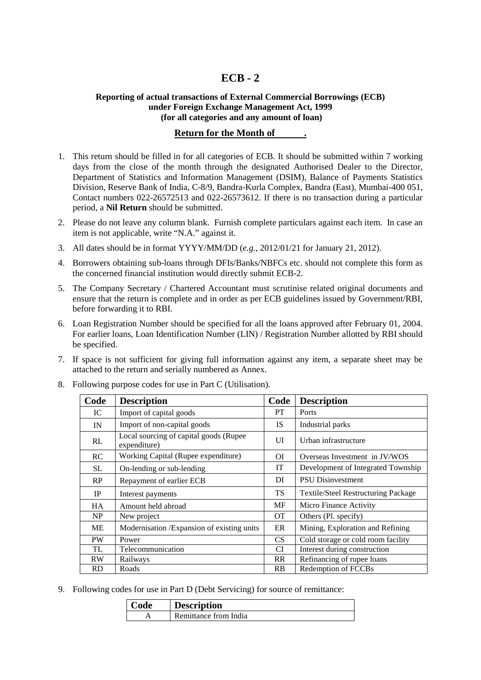# **ECB - 2**

#### **Reporting of actual transactions of External Commercial Borrowings (ECB) under Foreign Exchange Management Act, 1999 (for all categories and any amount of loan)**

#### **Return for the Month of .**

- 1. This return should be filled in for all categories of ECB. It should be submitted within 7 working days from the close of the month through the designated Authorised Dealer to the Director, Department of Statistics and Information Management (DSIM), Balance of Payments Statistics Division, Reserve Bank of India, C-8/9, Bandra-Kurla Complex, Bandra (East), Mumbai-400 051, Contact numbers 022-26572513 and 022-26573612. If there is no transaction during a particular period, a **Nil Return** should be submitted.
- 2. Please do not leave any column blank. Furnish complete particulars against each item. In case an item is not applicable, write "N.A." against it.
- 3. All dates should be in format YYYY/MM/DD (*e.g.*, 2012/01/21 for January 21, 2012).
- 4. Borrowers obtaining sub-loans through DFIs/Banks/NBFCs etc. should not complete this form as the concerned financial institution would directly submit ECB-2.
- 5. The Company Secretary / Chartered Accountant must scrutinise related original documents and ensure that the return is complete and in order as per ECB guidelines issued by Government/RBI, before forwarding it to RBI.
- 6. Loan Registration Number should be specified for all the loans approved after February 01, 2004. For earlier loans, Loan Identification Number (LIN) / Registration Number allotted by RBI should be specified.
- 7. If space is not sufficient for giving full information against any item, a separate sheet may be attached to the return and serially numbered as Annex.

| Code      | <b>Description</b>                                      | Code      | <b>Description</b>                         |
|-----------|---------------------------------------------------------|-----------|--------------------------------------------|
| IC        | Import of capital goods                                 | <b>PT</b> | Ports                                      |
| IN        | Import of non-capital goods                             | <b>IS</b> | Industrial parks                           |
| RL        | Local sourcing of capital goods (Rupee)<br>expenditure) | UI        | Urban infrastructure                       |
| RC        | Working Capital (Rupee expenditure)                     | ΟI        | Overseas Investment in JV/WOS              |
| SL        | On-lending or sub-lending                               | IT        | Development of Integrated Township         |
| RP        | Repayment of earlier ECB                                | DI        | <b>PSU Disinvestment</b>                   |
| IP        | Interest payments                                       | <b>TS</b> | <b>Textile/Steel Restructuring Package</b> |
| HA        | Amount held abroad                                      | MF        | Micro Finance Activity                     |
| NP        | New project                                             | <b>OT</b> | Others (Pl. specify)                       |
| МE        | Modernisation /Expansion of existing units              | ER        | Mining, Exploration and Refining           |
| <b>PW</b> | Power                                                   | <b>CS</b> | Cold storage or cold room facility         |
| TL        | Telecommunication                                       | CI        | Interest during construction               |
| RW        | Railways                                                | <b>RR</b> | Refinancing of rupee loans                 |
| <b>RD</b> | Roads                                                   | RB        | Redemption of FCCBs                        |

8. Following purpose codes for use in Part C (Utilisation).

9. Following codes for use in Part D (Debt Servicing) for source of remittance:

| ∣ Code | <b>Description</b>    |
|--------|-----------------------|
|        | Remittance from India |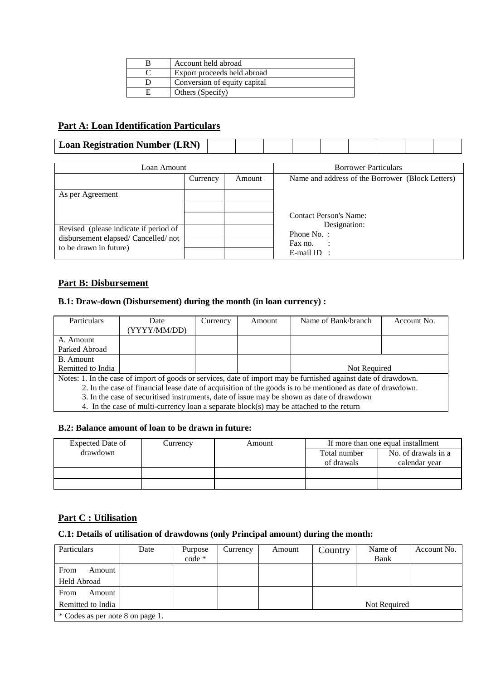| Account held abroad          |
|------------------------------|
| Export proceeds held abroad  |
| Conversion of equity capital |
| Others (Specify)             |

# **Part A: Loan Identification Particulars**

| <b>Loan Registration Number (LRN)</b> |  |  |  |  |  |
|---------------------------------------|--|--|--|--|--|
|                                       |  |  |  |  |  |

| Loan Amount                                                                                           |          | <b>Borrower Particulars</b> |                                                                                                           |
|-------------------------------------------------------------------------------------------------------|----------|-----------------------------|-----------------------------------------------------------------------------------------------------------|
|                                                                                                       | Currency | Amount                      | Name and address of the Borrower (Block Letters)                                                          |
| As per Agreement                                                                                      |          |                             |                                                                                                           |
| Revised (please indicate if period of<br>disbursement elapsed/Cancelled/not<br>to be drawn in future) |          |                             | <b>Contact Person's Name:</b><br>Designation:<br>Phone No.:<br>Fax no.<br>$\mathbb{R}^2$<br>$E$ -mail ID: |

## **Part B: Disbursement**

## **B.1: Draw-down (Disbursement) during the month (in loan currency) :**

| Particulars                                                                                                | Date                                                                                                            | Currency | Amount | Name of Bank/branch | Account No. |  |  |  |  |
|------------------------------------------------------------------------------------------------------------|-----------------------------------------------------------------------------------------------------------------|----------|--------|---------------------|-------------|--|--|--|--|
|                                                                                                            | (YYYY/MM/DD)                                                                                                    |          |        |                     |             |  |  |  |  |
| A. Amount                                                                                                  |                                                                                                                 |          |        |                     |             |  |  |  |  |
| Parked Abroad                                                                                              |                                                                                                                 |          |        |                     |             |  |  |  |  |
| <b>B.</b> Amount                                                                                           |                                                                                                                 |          |        |                     |             |  |  |  |  |
| Remitted to India                                                                                          | Not Required                                                                                                    |          |        |                     |             |  |  |  |  |
|                                                                                                            | Notes: 1. In the case of import of goods or services, date of import may be furnished against date of drawdown. |          |        |                     |             |  |  |  |  |
| 2. In the case of financial lease date of acquisition of the goods is to be mentioned as date of drawdown. |                                                                                                                 |          |        |                     |             |  |  |  |  |
| 3. In the case of securitised instruments, date of issue may be shown as date of drawdown                  |                                                                                                                 |          |        |                     |             |  |  |  |  |
| 4. In the case of multi-currency loan a separate block(s) may be attached to the return                    |                                                                                                                 |          |        |                     |             |  |  |  |  |

#### **B.2: Balance amount of loan to be drawn in future:**

| Expected Date of | Currency | Amount | If more than one equal installment  |               |
|------------------|----------|--------|-------------------------------------|---------------|
| drawdown         |          |        | No. of drawals in a<br>Total number |               |
|                  |          |        | of drawals                          | calendar year |
|                  |          |        |                                     |               |
|                  |          |        |                                     |               |

## **Part C : Utilisation**

#### **C.1: Details of utilisation of drawdowns (only Principal amount) during the month:**

| Particulars                       | Date | Purpose  | Currency | Amount | Country | Name of | Account No. |
|-----------------------------------|------|----------|----------|--------|---------|---------|-------------|
|                                   |      | $code *$ |          |        |         | Bank    |             |
| From<br>Amount                    |      |          |          |        |         |         |             |
| <b>Held Abroad</b>                |      |          |          |        |         |         |             |
| From<br>Amount                    |      |          |          |        |         |         |             |
| Remitted to India<br>Not Required |      |          |          |        |         |         |             |
| * Codes as per note 8 on page 1.  |      |          |          |        |         |         |             |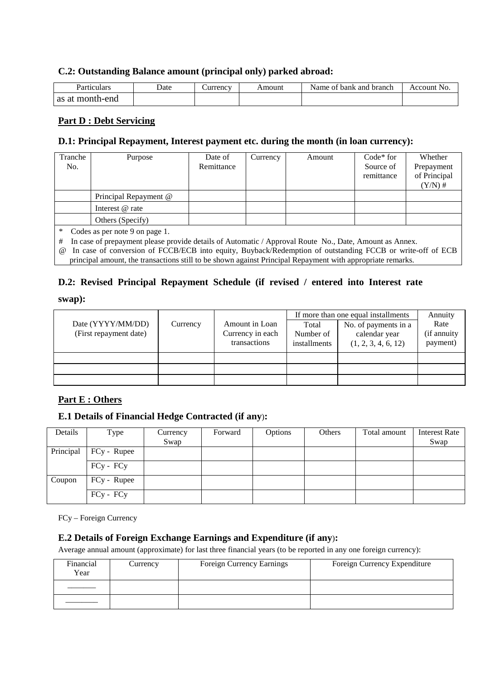### **C.2: Outstanding Balance amount (principal only) parked abroad:**

| ∽.<br>Particulars  | Date | Lurrency | Amount | Name of<br>bank and<br>branch | No.<br>Account |
|--------------------|------|----------|--------|-------------------------------|----------------|
| month-end<br>as at |      |          |        |                               |                |

#### **Part D : Debt Servicing**

#### **D.1: Principal Repayment, Interest payment etc. during the month (in loan currency):**

| Tranche | Purpose               | Date of    | Currency | Amount | $Code* for$ | Whether      |
|---------|-----------------------|------------|----------|--------|-------------|--------------|
| No.     |                       | Remittance |          |        | Source of   | Prepayment   |
|         |                       |            |          |        | remittance  | of Principal |
|         |                       |            |          |        |             | $(Y/N)$ #    |
|         | Principal Repayment @ |            |          |        |             |              |
|         | Interest @ rate       |            |          |        |             |              |
|         | Others (Specify)      |            |          |        |             |              |
| .       | $\sim$ $\sim$ $\sim$  |            |          |        |             |              |

\* Codes as per note 9 on page 1.

# In case of prepayment please provide details of Automatic / Approval Route No., Date, Amount as Annex.

@ In case of conversion of FCCB/ECB into equity, Buyback/Redemption of outstanding FCCB or write-off of ECB principal amount, the transactions still to be shown against Principal Repayment with appropriate remarks.

#### **D.2: Revised Principal Repayment Schedule (if revised / entered into Interest rate**

**swap):** 

| Date (YYYY/MM/DD)      | Currency                         | Amount in Loan | Total                     | If more than one equal installments<br>No. of payments in a | Annuity<br>Rate         |
|------------------------|----------------------------------|----------------|---------------------------|-------------------------------------------------------------|-------------------------|
| (First repayment date) | Currency in each<br>transactions |                | Number of<br>installments | calendar year<br>(1, 2, 3, 4, 6, 12)                        | (if annuity<br>payment) |
|                        |                                  |                |                           |                                                             |                         |
|                        |                                  |                |                           |                                                             |                         |
|                        |                                  |                |                           |                                                             |                         |

## **Part E : Others**

## **E.1 Details of Financial Hedge Contracted (if any**)**:**

| Details   | Type        | Currency | Forward | <b>Options</b> | <b>Others</b> | Total amount | <b>Interest Rate</b> |
|-----------|-------------|----------|---------|----------------|---------------|--------------|----------------------|
|           |             | Swap     |         |                |               |              | Swap                 |
| Principal | FCy - Rupee |          |         |                |               |              |                      |
|           | $FCy - FCy$ |          |         |                |               |              |                      |
| Coupon    | FCy - Rupee |          |         |                |               |              |                      |
|           | $FCy - FCy$ |          |         |                |               |              |                      |

FCy – Foreign Currency

#### **E.2 Details of Foreign Exchange Earnings and Expenditure (if any**)**:**

Average annual amount (approximate) for last three financial years (to be reported in any one foreign currency):

| Financial<br>Year | Currency | Foreign Currency Earnings | Foreign Currency Expenditure |
|-------------------|----------|---------------------------|------------------------------|
|                   |          |                           |                              |
|                   |          |                           |                              |